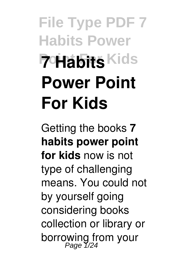# **File Type PDF 7 Habits Power Point For Kids Power Point For Kids**

Getting the books **7 habits power point for kids** now is not type of challenging means. You could not by yourself going considering books collection or library or borrowing from your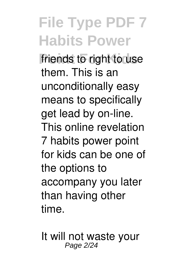**File Type PDF 7 Habits Power** friends to right to use them. This is an unconditionally easy means to specifically get lead by on-line. This online revelation 7 habits power point for kids can be one of the options to accompany you later than having other time.

It will not waste your Page 2/24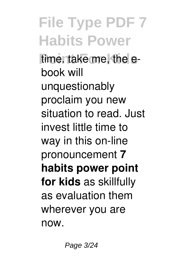**File Type PDF 7 Habits Power** time. take me, the ebook will unquestionably proclaim you new situation to read. Just invest little time to way in this on-line pronouncement **7 habits power point for kids** as skillfully as evaluation them wherever you are now.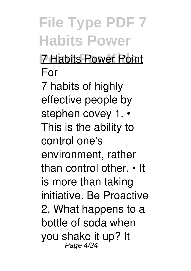**File Type PDF 7 Habits Power Point For Kids** 7 Habits Power Point For 7 habits of highly effective people by stephen covey 1. • This is the ability to control one's environment, rather than control other. • It is more than taking initiative. Be Proactive 2. What happens to a bottle of soda when you shake it up? It Page 4/24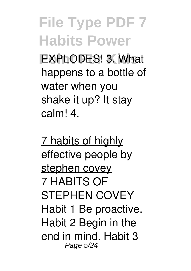**PXPLODES! 3. What** happens to a bottle of water when you shake it up? It stay calm! 4.

7 habits of highly effective people by stephen covey 7 HABITS OF STEPHEN COVEY Habit 1 Be proactive. Habit 2 Begin in the end in mind. Habit 3 Page 5/24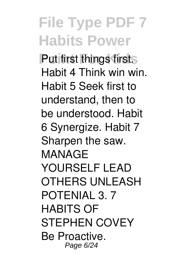**Put first Things first.** Habit 4 Think win win. Habit 5 Seek first to understand, then to be understood. Habit 6 Synergize. Habit 7 Sharpen the saw. MANAGE YOURSELF LEAD OTHERS UNLEASH POTENIAL 3. 7 HABITS OF STEPHEN COVEY Be Proactive. Page 6/24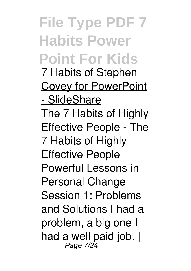**File Type PDF 7 Habits Power Point For Kids** 7 Habits of Stephen Covey for PowerPoint - SlideShare The 7 Habits of Highly Effective People - The 7 Habits of Highly Effective People Powerful Lessons in Personal Change Session 1: Problems and Solutions I had a problem, a big one I had a well paid job.  $|$ <br>Page 7/24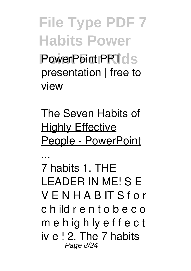**File Type PDF 7 Habits Power PowerPoint PPTds** presentation | free to view

The Seven Habits of **Highly Effective** People - PowerPoint

...

7 habits 1. THE LEADER IN ME! S E V E N H A B IT S f o r c h ild r e n t o b e c o m e h ig h ly e f f e c t iv e ! 2. The 7 habits Page 8/24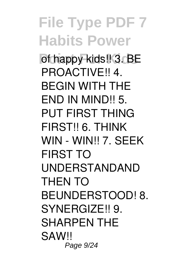**File Type PDF 7 Habits Power** of happy kids!! 3. BE PROACTIVE!! 4. BEGIN WITH THE END IN MIND!! 5. PUT FIRST THING FIRST!! 6. THINK WIN - WIN!! 7. SEEK FIRST TO UNDERSTANDAND THEN TO BEUNDERSTOOD! 8. SYNERGIZE!! 9. SHARPEN THE SAW!! Page 9/24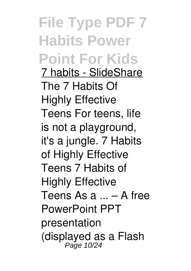**File Type PDF 7 Habits Power Point For Kids** 7 habits - SlideShare The 7 Habits Of Highly Effective Teens For teens, life is not a playground, it's a jungle. 7 Habits of Highly Effective Teens 7 Habits of Highly Effective Teens As a ... – A free PowerPoint PPT presentation (displayed as a Flash Page 10/24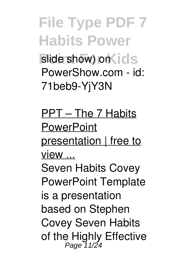**File Type PDF 7 Habits Power** slide show) on ids PowerShow.com - id: 71beb9-YjY3N

PPT – The 7 Habits **PowerPoint** presentation | free to view ... Seven Habits Covey PowerPoint Template is a presentation based on Stephen Covey Seven Habits of the Highly Effective<br>Page 11/24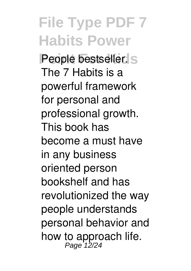**File Type PDF 7 Habits Power People bestseller.** S The 7 Habits is a powerful framework for personal and professional growth. This book has become a must have in any business oriented person bookshelf and has revolutionized the way people understands personal behavior and how to approach life.<br>Page 12/24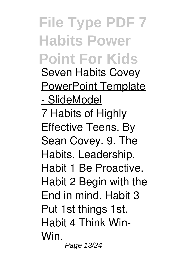**File Type PDF 7 Habits Power Point For Kids** Seven Habits Covey PowerPoint Template - SlideModel 7 Habits of Highly Effective Teens. By Sean Covey. 9. The Habits. Leadership. Habit 1 Be Proactive. Habit 2 Begin with the End in mind. Habit 3 Put 1st things 1st. Habit 4 Think Win-Win. Page 13/24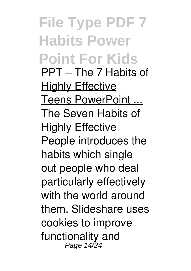**File Type PDF 7 Habits Power Point For Kids** PPT – The 7 Habits of Highly Effective Teens PowerPoint ... The Seven Habits of Highly Effective People introduces the habits which single out people who deal particularly effectively with the world around them. Slideshare uses cookies to improve functionality and Page 14/24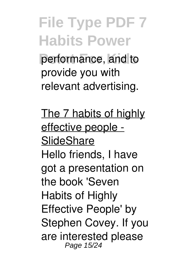**File Type PDF 7 Habits Power Point For Kids** performance, and to provide you with relevant advertising.

The 7 habits of highly effective people - **SlideShare** Hello friends, I have got a presentation on the book 'Seven Habits of Highly Effective People' by Stephen Covey. If you are interested please Page 15/24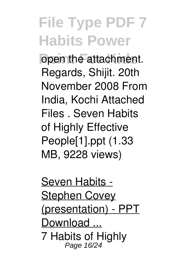open the attachment. Regards, Shijit. 20th November 2008 From India, Kochi Attached Files . Seven Habits of Highly Effective People[1].ppt (1.33 MB, 9228 views)

Seven Habits - **Stephen Covey** (presentation) - PPT Download ... 7 Habits of Highly Page 16/24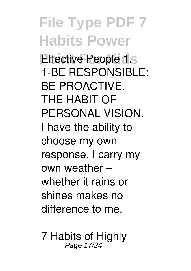**File Type PDF 7 Habits Power** *<u>Effective People 1.5</u>* 1-BE RESPONSIBLE: BE PROACTIVE. THE HABIT OF PERSONAL VISION. I have the ability to choose my own response. I carry my own weather – whether it rains or shines makes no difference to me.

7 Habits of Highly<br>Page 17/24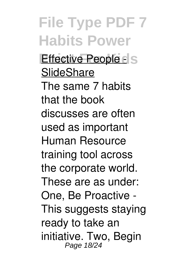**File Type PDF 7 Habits Power People disk For People disk SlideShare** The same 7 habits that the book discusses are often used as important Human Resource training tool across the corporate world. These are as under: One, Be Proactive - This suggests staying ready to take an initiative. Two, Begin Page 18/24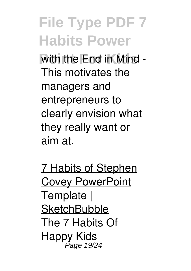with the End in Mind -This motivates the managers and entrepreneurs to clearly envision what they really want or aim at.

7 Habits of Stephen **Covey PowerPoint** Template | **SketchBubble** The 7 Habits Of Happy Kids Page 19/24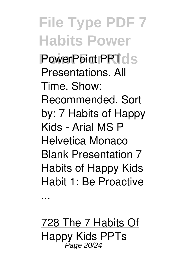**File Type PDF 7 Habits Power PowerPoint PPTds** Presentations. All Time. Show: Recommended. Sort by: 7 Habits of Happy Kids - Arial MS P Helvetica Monaco Blank Presentation 7 Habits of Happy Kids Habit 1: Be Proactive

...

728 The 7 Habits Of Happy Kids PPTs Page 20/24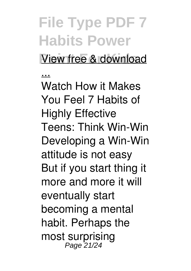**Point For Kids** View free & download

... Watch How it Makes You Feel 7 Habits of Highly Effective Teens: Think Win-Win Developing a Win-Win attitude is not easy But if you start thing it more and more it will eventually start becoming a mental habit. Perhaps the most surprising Page 21/24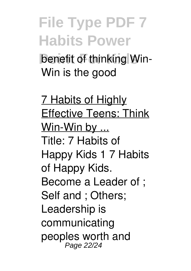**benefit of thinking Win-**Win is the good

7 Habits of Highly Effective Teens: Think Win-Win by ... Title: 7 Habits of Happy Kids 1 7 Habits of Happy Kids. Become a Leader of ; Self and ; Others; Leadership is communicating peoples worth and Page 22/24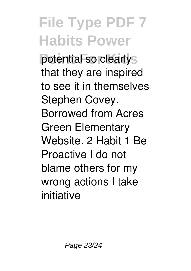**potential so clearly** that they are inspired to see it in themselves Stephen Covey. Borrowed from Acres Green Elementary Website. 2 Habit 1 Be Proactive I do not blame others for my wrong actions I take initiative